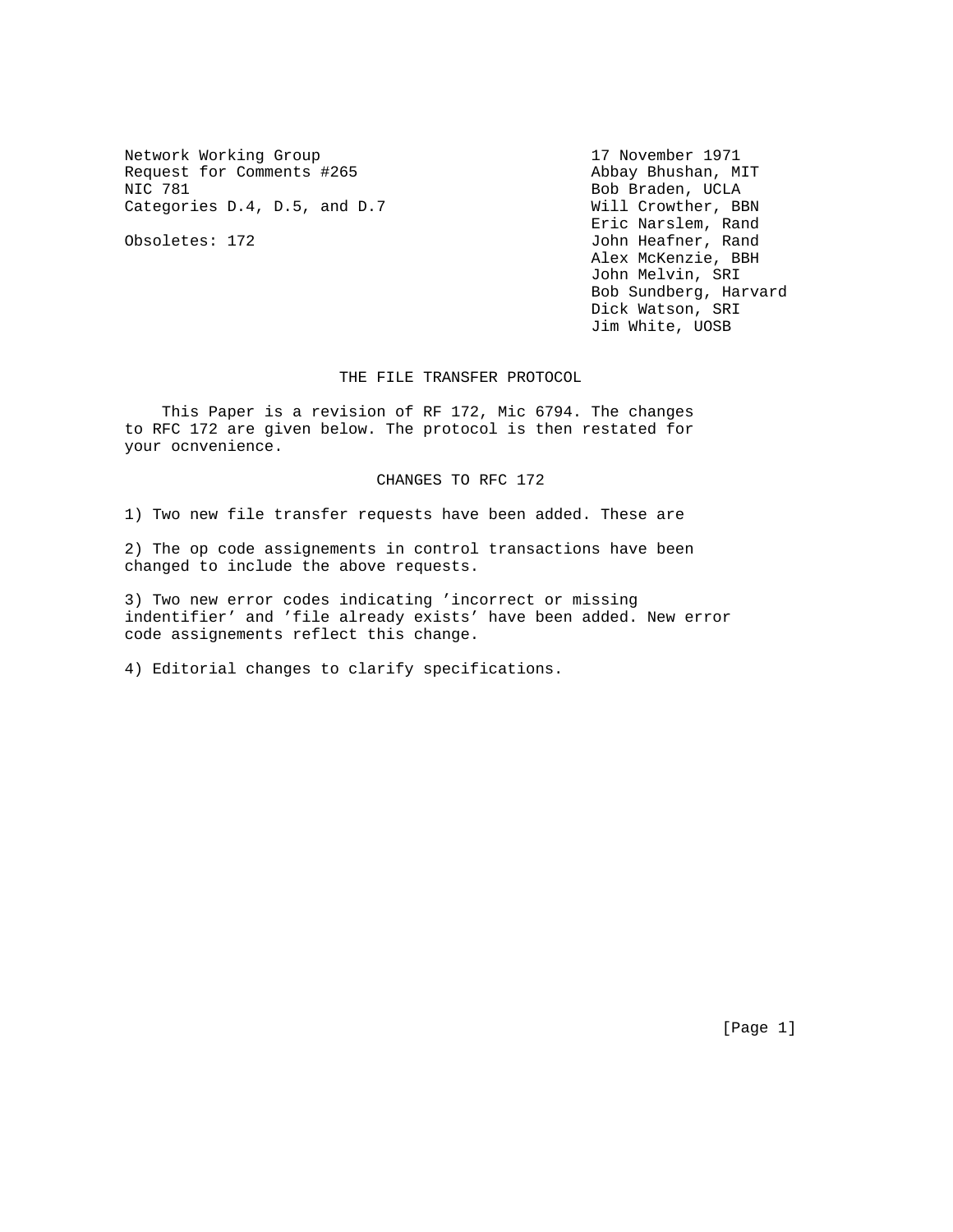Network Working Group 17 November 1971 Request for Comments #265 Abbay Bhushan, MIT NIC 781 Bob Braden, UCLA Categories D.4, D.5, and D.7 Will Crowther, BBN

 Eric Narslem, Rand Obsoletes: 172 John Heafner, Rand Alex McKenzie, BBH John Melvin, SRI Bob Sundberg, Harvard Dick Watson, SRI Jim White, UOSB

THE FILE TRANSFER PROTOCOL

 This Paper is a revision of RF 172, Mic 6794. The changes to RFC 172 are given below. The protocol is then restated for your ocnvenience.

### CHANGES TO RFC 172

1) Two new file transfer requests have been added. These are

2) The op code assignements in control transactions have been changed to include the above requests.

3) Two new error codes indicating 'incorrect or missing indentifier' and 'file already exists' have been added. New error code assignements reflect this change.

4) Editorial changes to clarify specifications.

[Page 1]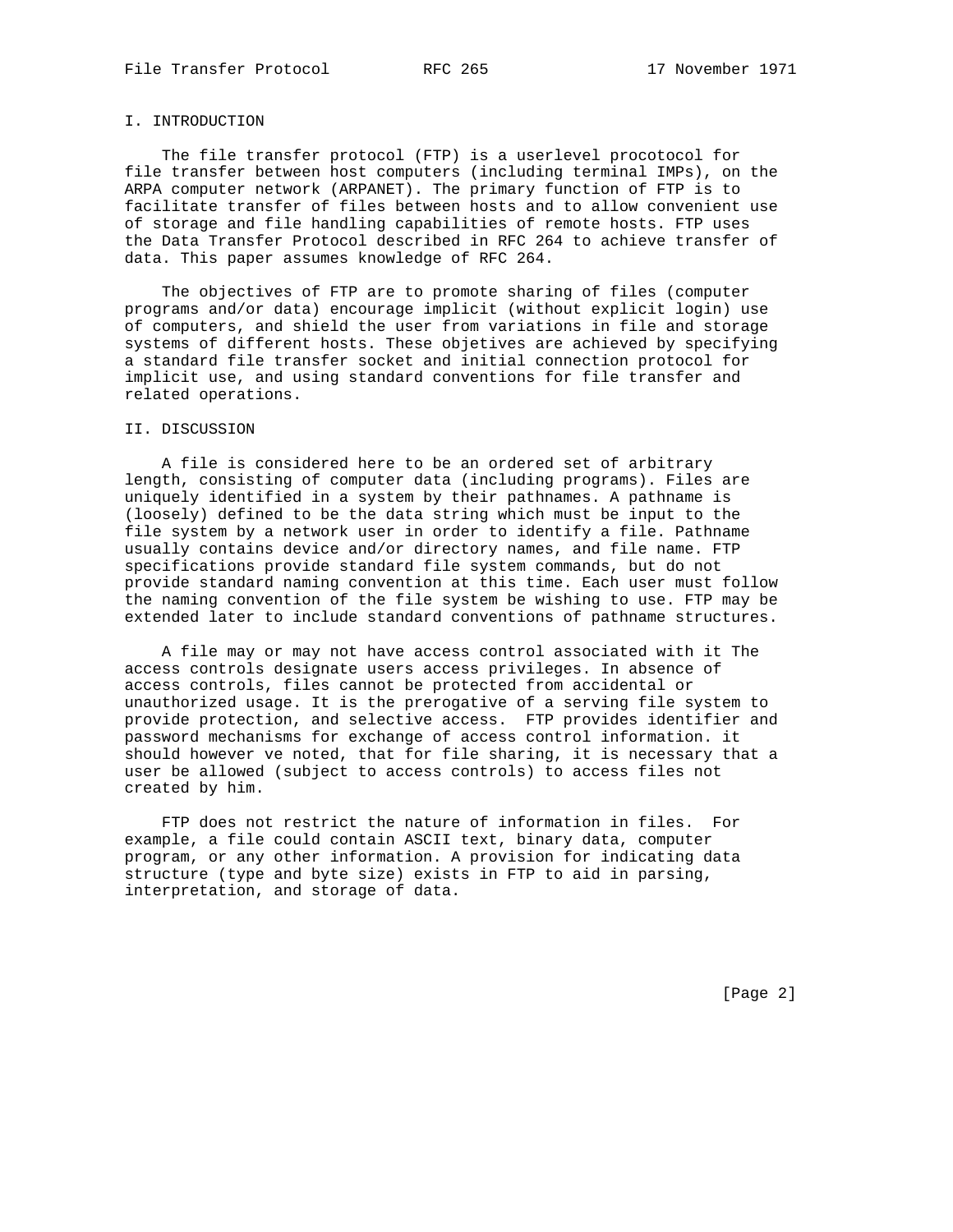# I. INTRODUCTION

 The file transfer protocol (FTP) is a userlevel procotocol for file transfer between host computers (including terminal IMPs), on the ARPA computer network (ARPANET). The primary function of FTP is to facilitate transfer of files between hosts and to allow convenient use of storage and file handling capabilities of remote hosts. FTP uses the Data Transfer Protocol described in RFC 264 to achieve transfer of data. This paper assumes knowledge of RFC 264.

 The objectives of FTP are to promote sharing of files (computer programs and/or data) encourage implicit (without explicit login) use of computers, and shield the user from variations in file and storage systems of different hosts. These objetives are achieved by specifying a standard file transfer socket and initial connection protocol for implicit use, and using standard conventions for file transfer and related operations.

### II. DISCUSSION

 A file is considered here to be an ordered set of arbitrary length, consisting of computer data (including programs). Files are uniquely identified in a system by their pathnames. A pathname is (loosely) defined to be the data string which must be input to the file system by a network user in order to identify a file. Pathname usually contains device and/or directory names, and file name. FTP specifications provide standard file system commands, but do not provide standard naming convention at this time. Each user must follow the naming convention of the file system be wishing to use. FTP may be extended later to include standard conventions of pathname structures.

 A file may or may not have access control associated with it The access controls designate users access privileges. In absence of access controls, files cannot be protected from accidental or unauthorized usage. It is the prerogative of a serving file system to provide protection, and selective access. FTP provides identifier and password mechanisms for exchange of access control information. it should however ve noted, that for file sharing, it is necessary that a user be allowed (subject to access controls) to access files not created by him.

 FTP does not restrict the nature of information in files. For example, a file could contain ASCII text, binary data, computer program, or any other information. A provision for indicating data structure (type and byte size) exists in FTP to aid in parsing, interpretation, and storage of data.

[Page 2]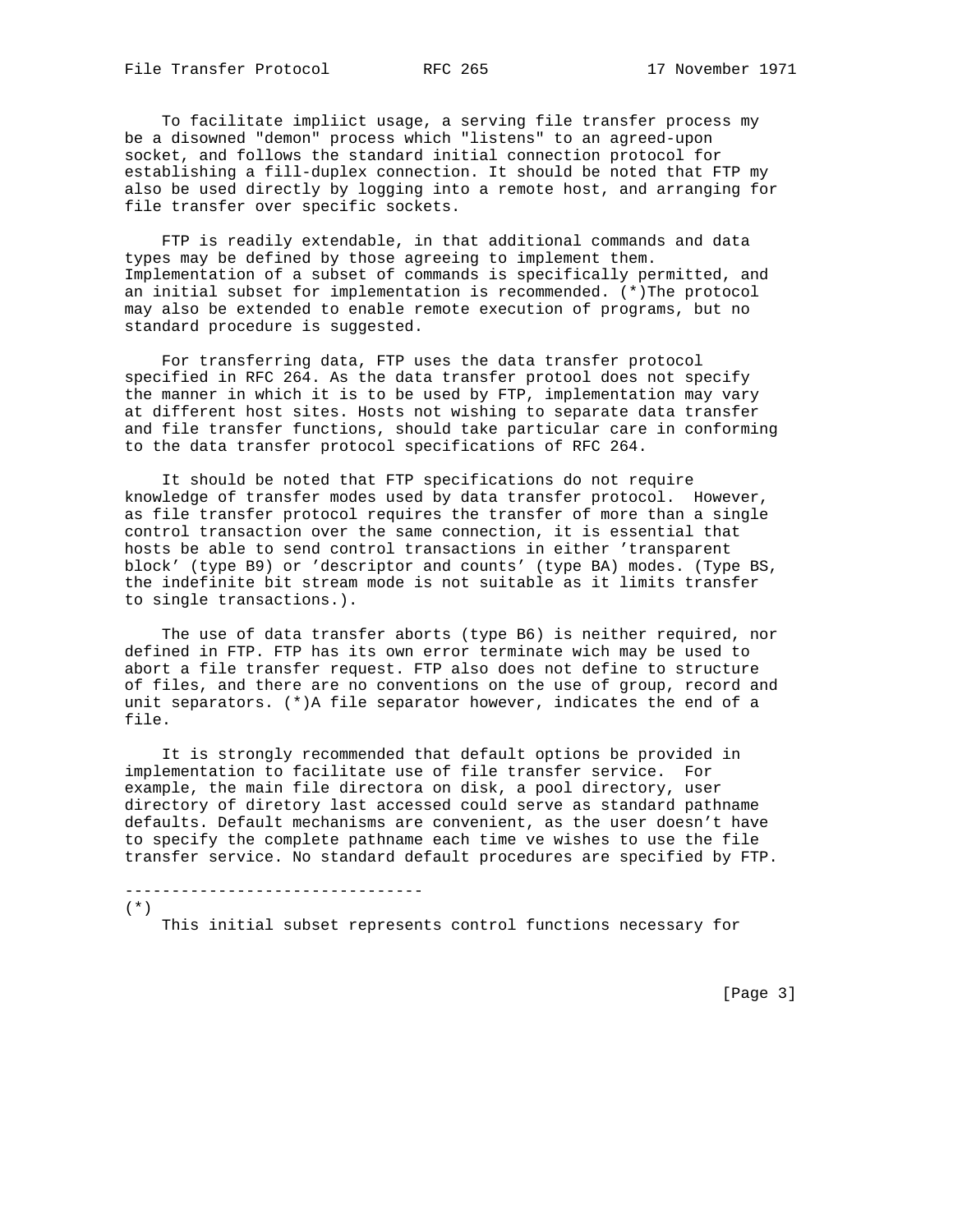To facilitate impliict usage, a serving file transfer process my be a disowned "demon" process which "listens" to an agreed-upon socket, and follows the standard initial connection protocol for establishing a fill-duplex connection. It should be noted that FTP my also be used directly by logging into a remote host, and arranging for file transfer over specific sockets.

 FTP is readily extendable, in that additional commands and data types may be defined by those agreeing to implement them. Implementation of a subset of commands is specifically permitted, and an initial subset for implementation is recommended. (\*)The protocol may also be extended to enable remote execution of programs, but no standard procedure is suggested.

 For transferring data, FTP uses the data transfer protocol specified in RFC 264. As the data transfer protool does not specify the manner in which it is to be used by FTP, implementation may vary at different host sites. Hosts not wishing to separate data transfer and file transfer functions, should take particular care in conforming to the data transfer protocol specifications of RFC 264.

 It should be noted that FTP specifications do not require knowledge of transfer modes used by data transfer protocol. However, as file transfer protocol requires the transfer of more than a single control transaction over the same connection, it is essential that hosts be able to send control transactions in either 'transparent block' (type B9) or 'descriptor and counts' (type BA) modes. (Type BS, the indefinite bit stream mode is not suitable as it limits transfer to single transactions.).

 The use of data transfer aborts (type B6) is neither required, nor defined in FTP. FTP has its own error terminate wich may be used to abort a file transfer request. FTP also does not define to structure of files, and there are no conventions on the use of group, record and unit separators. (\*)A file separator however, indicates the end of a file.

 It is strongly recommended that default options be provided in implementation to facilitate use of file transfer service. For example, the main file directora on disk, a pool directory, user directory of diretory last accessed could serve as standard pathname defaults. Default mechanisms are convenient, as the user doesn't have to specify the complete pathname each time ve wishes to use the file transfer service. No standard default procedures are specified by FTP.

--------------------------------

(\*)

This initial subset represents control functions necessary for

[Page 3]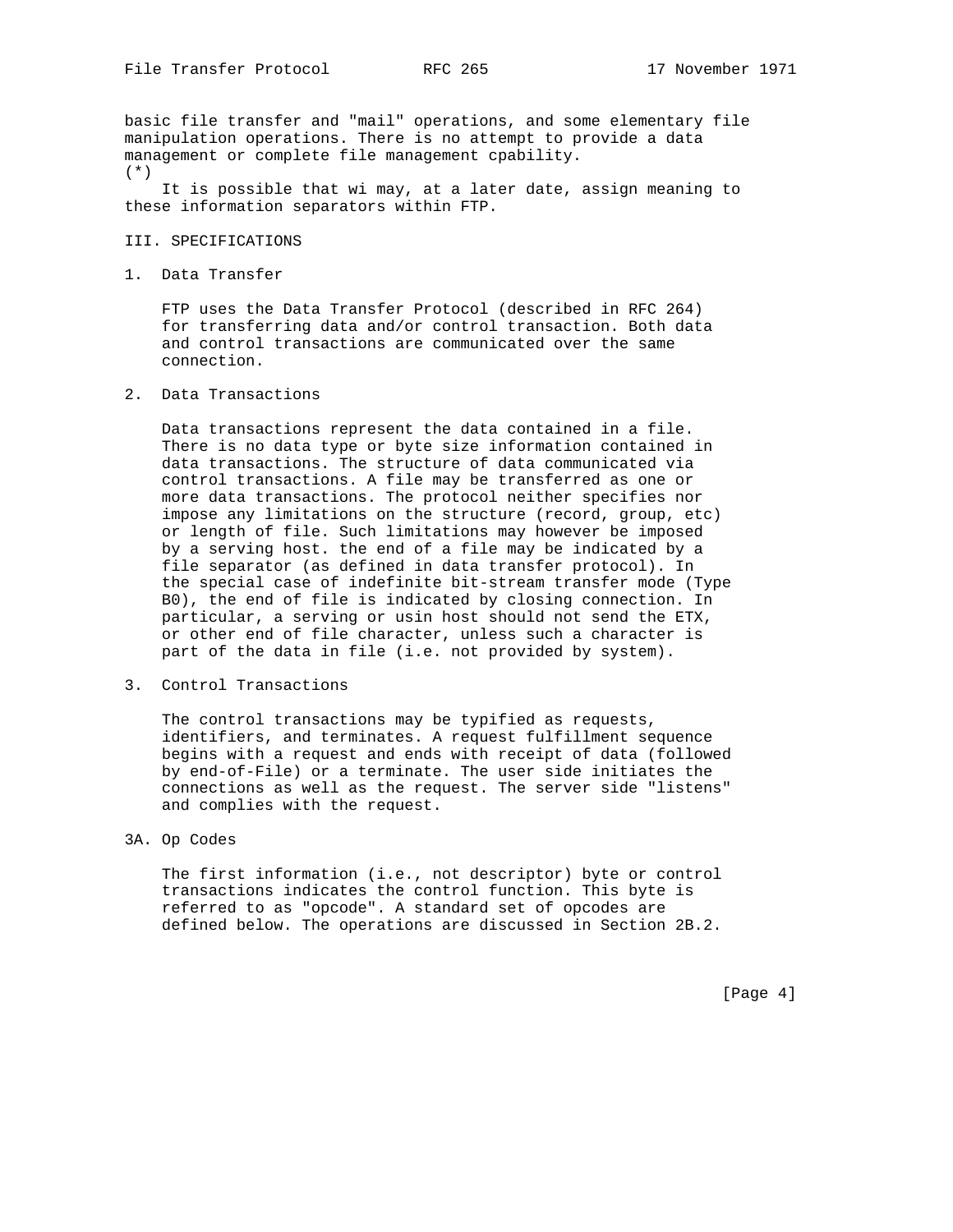basic file transfer and "mail" operations, and some elementary file manipulation operations. There is no attempt to provide a data management or complete file management cpability. (\*)

 It is possible that wi may, at a later date, assign meaning to these information separators within FTP.

### III. SPECIFICATIONS

1. Data Transfer

 FTP uses the Data Transfer Protocol (described in RFC 264) for transferring data and/or control transaction. Both data and control transactions are communicated over the same connection.

2. Data Transactions

 Data transactions represent the data contained in a file. There is no data type or byte size information contained in data transactions. The structure of data communicated via control transactions. A file may be transferred as one or more data transactions. The protocol neither specifies nor impose any limitations on the structure (record, group, etc) or length of file. Such limitations may however be imposed by a serving host. the end of a file may be indicated by a file separator (as defined in data transfer protocol). In the special case of indefinite bit-stream transfer mode (Type B0), the end of file is indicated by closing connection. In particular, a serving or usin host should not send the ETX, or other end of file character, unless such a character is part of the data in file (i.e. not provided by system).

3. Control Transactions

 The control transactions may be typified as requests, identifiers, and terminates. A request fulfillment sequence begins with a request and ends with receipt of data (followed by end-of-File) or a terminate. The user side initiates the connections as well as the request. The server side "listens" and complies with the request.

3A. Op Codes

 The first information (i.e., not descriptor) byte or control transactions indicates the control function. This byte is referred to as "opcode". A standard set of opcodes are defined below. The operations are discussed in Section 2B.2.

[Page 4]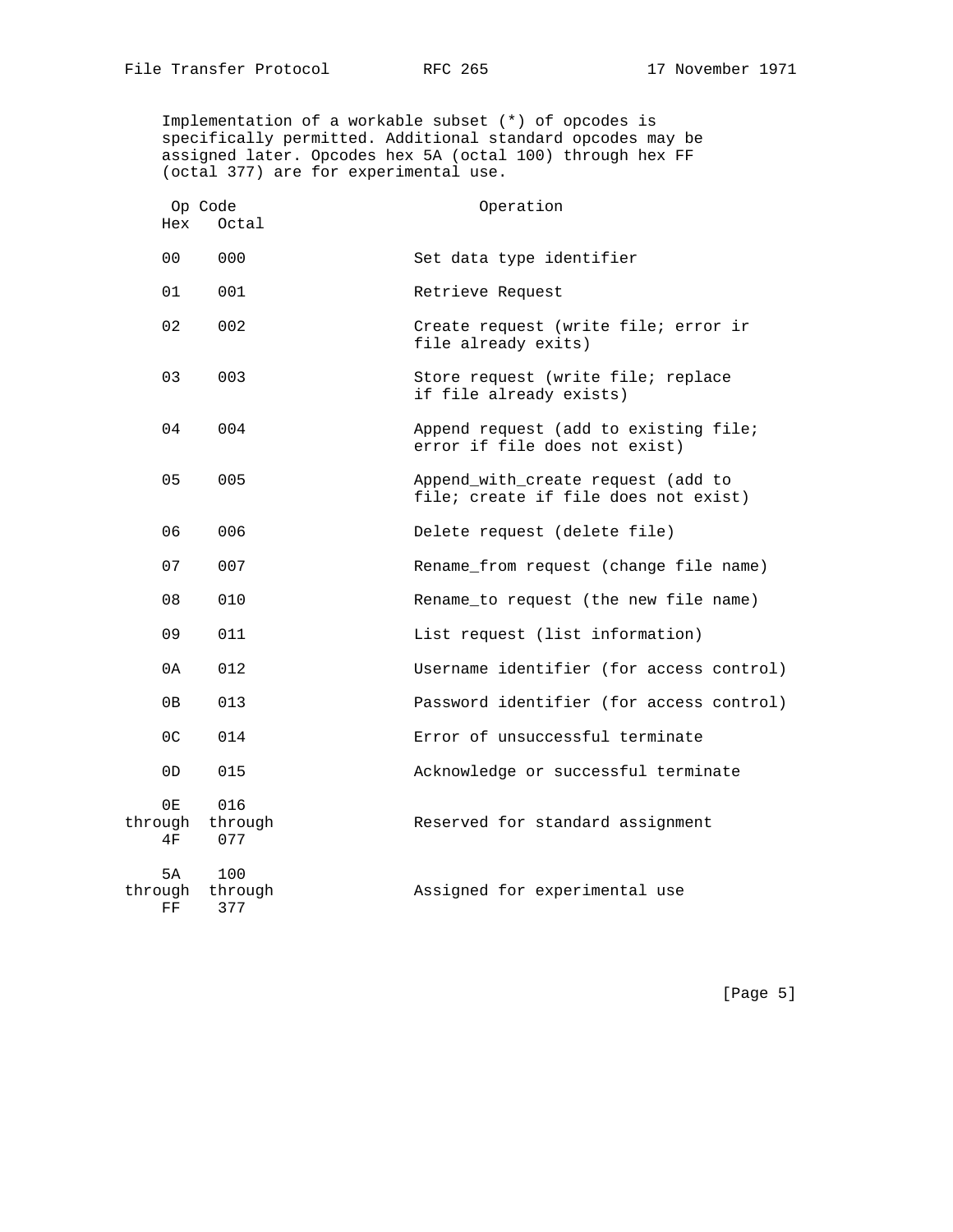Implementation of a workable subset (\*) of opcodes is specifically permitted. Additional standard opcodes may be assigned later. Opcodes hex 5A (octal 100) through hex FF (octal 377) are for experimental use.

| Hex                 | Op Code<br>Octal              | Operation                                                                  |
|---------------------|-------------------------------|----------------------------------------------------------------------------|
| 00 <sup>o</sup>     | 000                           | Set data type identifier                                                   |
| 01                  | 001                           | Retrieve Request                                                           |
| 02                  | 002                           | Create request (write file; error ir<br>file already exits)                |
| 03                  | 003                           | Store request (write file; replace<br>if file already exists)              |
| 04                  | 004                           | Append request (add to existing file;<br>error if file does not exist)     |
| 05                  | 005                           | Append_with_create request (add to<br>file; create if file does not exist) |
| 06                  | 006                           | Delete request (delete file)                                               |
| 07                  | 007                           | Rename_from request (change file name)                                     |
| 08                  | 010                           | Rename_to request (the new file name)                                      |
| 09                  | 011                           | List request (list information)                                            |
| 0A                  | 012                           | Username identifier (for access control)                                   |
| 0B                  | 013                           | Password identifier (for access control)                                   |
| 0 <sup>C</sup>      | 014                           | Error of unsuccessful terminate                                            |
| 0 <sub>D</sub>      | 015                           | Acknowledge or successful terminate                                        |
| 0E<br>4F            | 016<br>through through<br>077 | Reserved for standard assignment                                           |
| 5A<br>through<br>FF | 100<br>through<br>377         | Assigned for experimental use                                              |

[Page 5]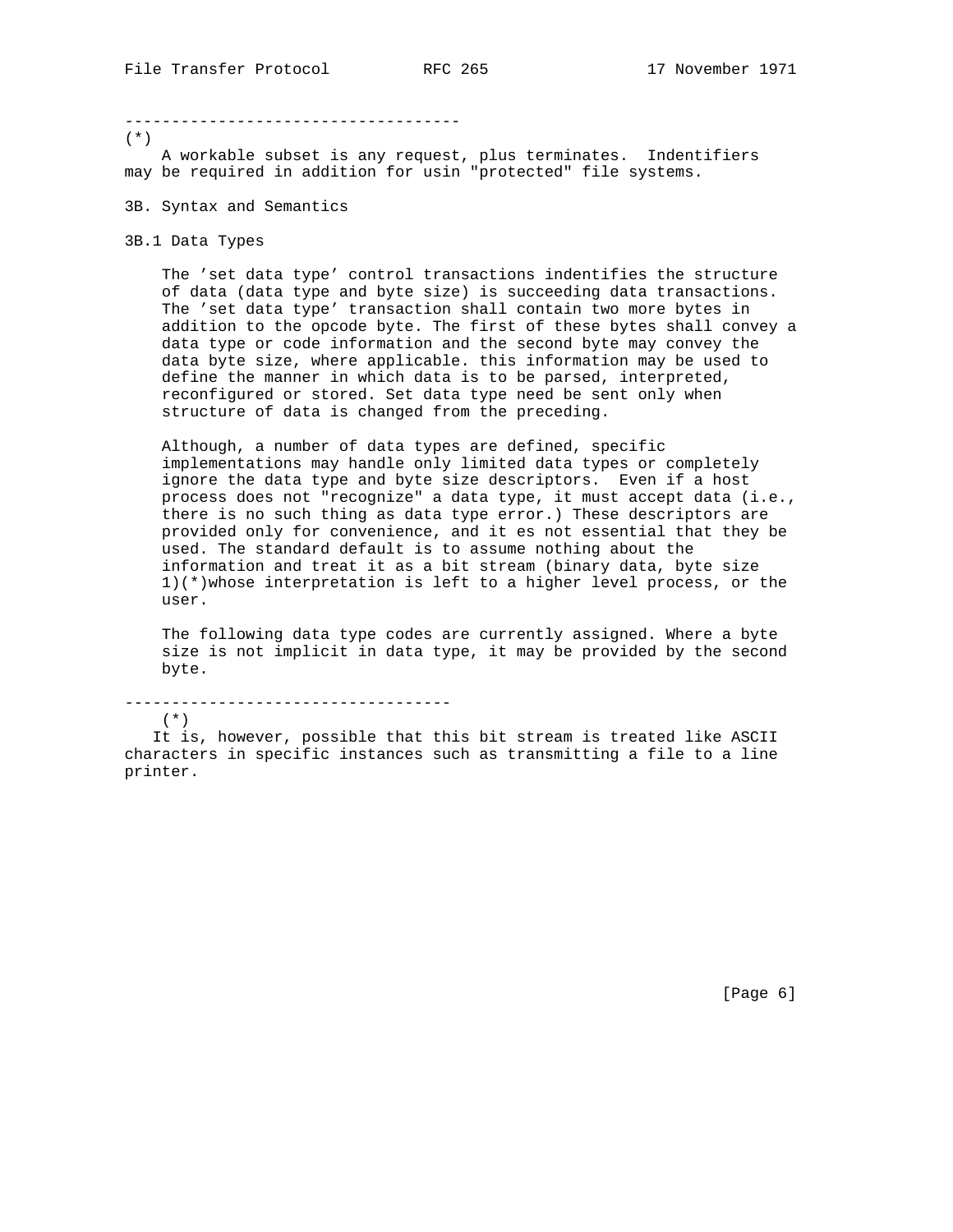#### ------------------------------------

(\*)

 A workable subset is any request, plus terminates. Indentifiers may be required in addition for usin "protected" file systems.

- 3B. Syntax and Semantics
- 3B.1 Data Types

 The 'set data type' control transactions indentifies the structure of data (data type and byte size) is succeeding data transactions. The 'set data type' transaction shall contain two more bytes in addition to the opcode byte. The first of these bytes shall convey a data type or code information and the second byte may convey the data byte size, where applicable. this information may be used to define the manner in which data is to be parsed, interpreted, reconfigured or stored. Set data type need be sent only when structure of data is changed from the preceding.

 Although, a number of data types are defined, specific implementations may handle only limited data types or completely ignore the data type and byte size descriptors. Even if a host process does not "recognize" a data type, it must accept data (i.e., there is no such thing as data type error.) These descriptors are provided only for convenience, and it es not essential that they be used. The standard default is to assume nothing about the information and treat it as a bit stream (binary data, byte size 1)(\*)whose interpretation is left to a higher level process, or the user.

 The following data type codes are currently assigned. Where a byte size is not implicit in data type, it may be provided by the second byte.

-----------------------------------

(\*)

 It is, however, possible that this bit stream is treated like ASCII characters in specific instances such as transmitting a file to a line printer.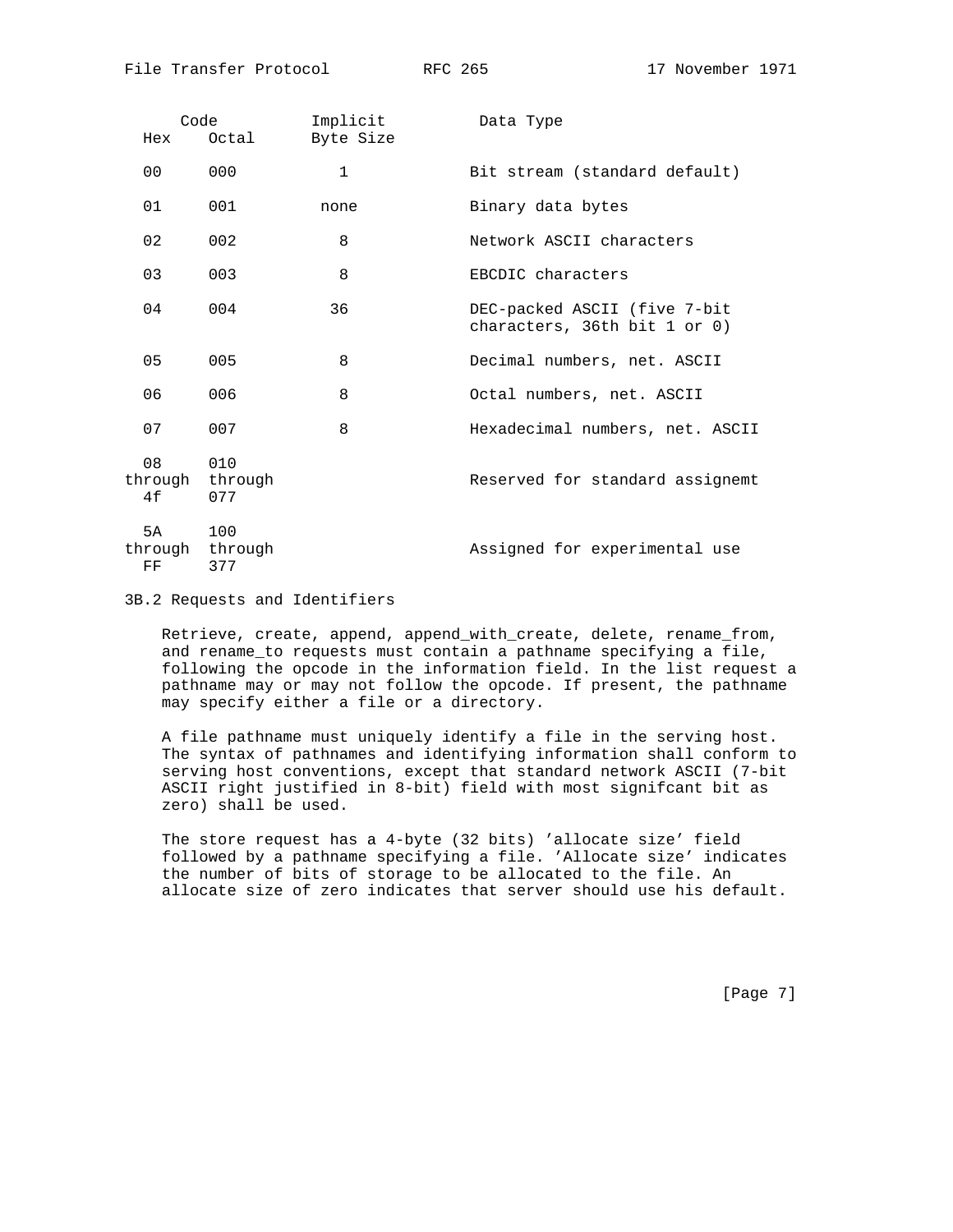| Hex                  | Code<br>Octal         | Implicit<br>Byte Size | Data Type                                                    |
|----------------------|-----------------------|-----------------------|--------------------------------------------------------------|
| 00                   | 000                   | $\mathbf{1}$          | Bit stream (standard default)                                |
| 01                   | 001                   | none                  | Binary data bytes                                            |
| 02                   | 002                   | 8                     | Network ASCII characters                                     |
| 03                   | 003                   | 8                     | EBCDIC characters                                            |
| 04                   | 004                   | 36                    | DEC-packed ASCII (five 7-bit<br>characters, 36th bit 1 or 0) |
| 05                   | 005                   | 8                     | Decimal numbers, net. ASCII                                  |
| 06                   | 006                   | 8                     | Octal numbers, net. ASCII                                    |
| 07                   | 007                   | 8                     | Hexadecimal numbers, net. ASCII                              |
| 08<br>through<br>4f  | 010<br>through<br>077 |                       | Reserved for standard assignemt                              |
| 5 A<br>through<br>FF | 100<br>through<br>377 |                       | Assigned for experimental use                                |

3B.2 Requests and Identifiers

 Retrieve, create, append, append\_with\_create, delete, rename\_from, and rename\_to requests must contain a pathname specifying a file, following the opcode in the information field. In the list request a pathname may or may not follow the opcode. If present, the pathname may specify either a file or a directory.

 A file pathname must uniquely identify a file in the serving host. The syntax of pathnames and identifying information shall conform to serving host conventions, except that standard network ASCII (7-bit ASCII right justified in 8-bit) field with most signifcant bit as zero) shall be used.

 The store request has a 4-byte (32 bits) 'allocate size' field followed by a pathname specifying a file. 'Allocate size' indicates the number of bits of storage to be allocated to the file. An allocate size of zero indicates that server should use his default.

[Page 7]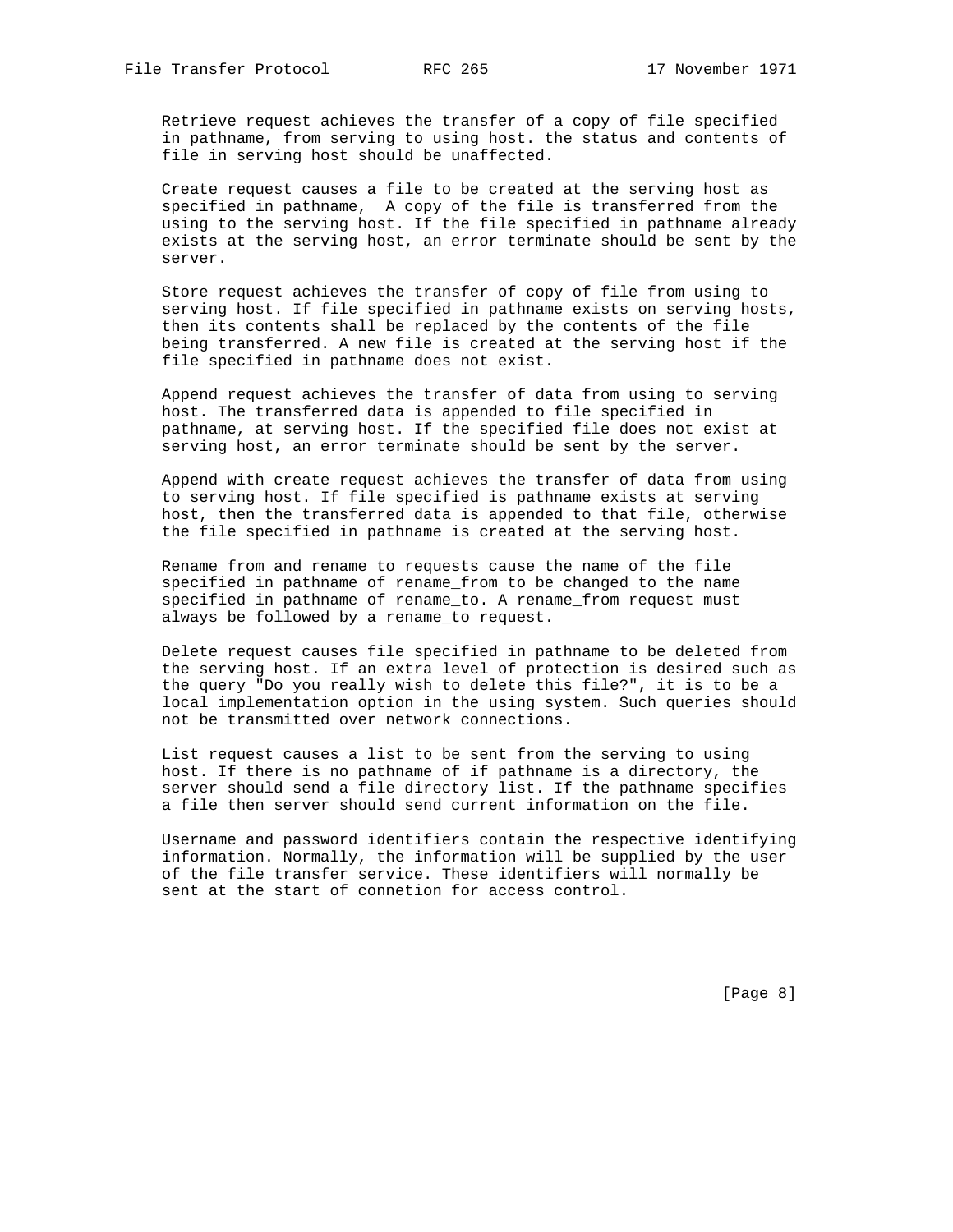Retrieve request achieves the transfer of a copy of file specified in pathname, from serving to using host. the status and contents of file in serving host should be unaffected.

 Create request causes a file to be created at the serving host as specified in pathname, A copy of the file is transferred from the using to the serving host. If the file specified in pathname already exists at the serving host, an error terminate should be sent by the server.

 Store request achieves the transfer of copy of file from using to serving host. If file specified in pathname exists on serving hosts, then its contents shall be replaced by the contents of the file being transferred. A new file is created at the serving host if the file specified in pathname does not exist.

 Append request achieves the transfer of data from using to serving host. The transferred data is appended to file specified in pathname, at serving host. If the specified file does not exist at serving host, an error terminate should be sent by the server.

 Append with create request achieves the transfer of data from using to serving host. If file specified is pathname exists at serving host, then the transferred data is appended to that file, otherwise the file specified in pathname is created at the serving host.

 Rename from and rename to requests cause the name of the file specified in pathname of rename\_from to be changed to the name specified in pathname of rename\_to. A rename\_from request must always be followed by a rename\_to request.

 Delete request causes file specified in pathname to be deleted from the serving host. If an extra level of protection is desired such as the query "Do you really wish to delete this file?", it is to be a local implementation option in the using system. Such queries should not be transmitted over network connections.

 List request causes a list to be sent from the serving to using host. If there is no pathname of if pathname is a directory, the server should send a file directory list. If the pathname specifies a file then server should send current information on the file.

 Username and password identifiers contain the respective identifying information. Normally, the information will be supplied by the user of the file transfer service. These identifiers will normally be sent at the start of connetion for access control.

[Page 8]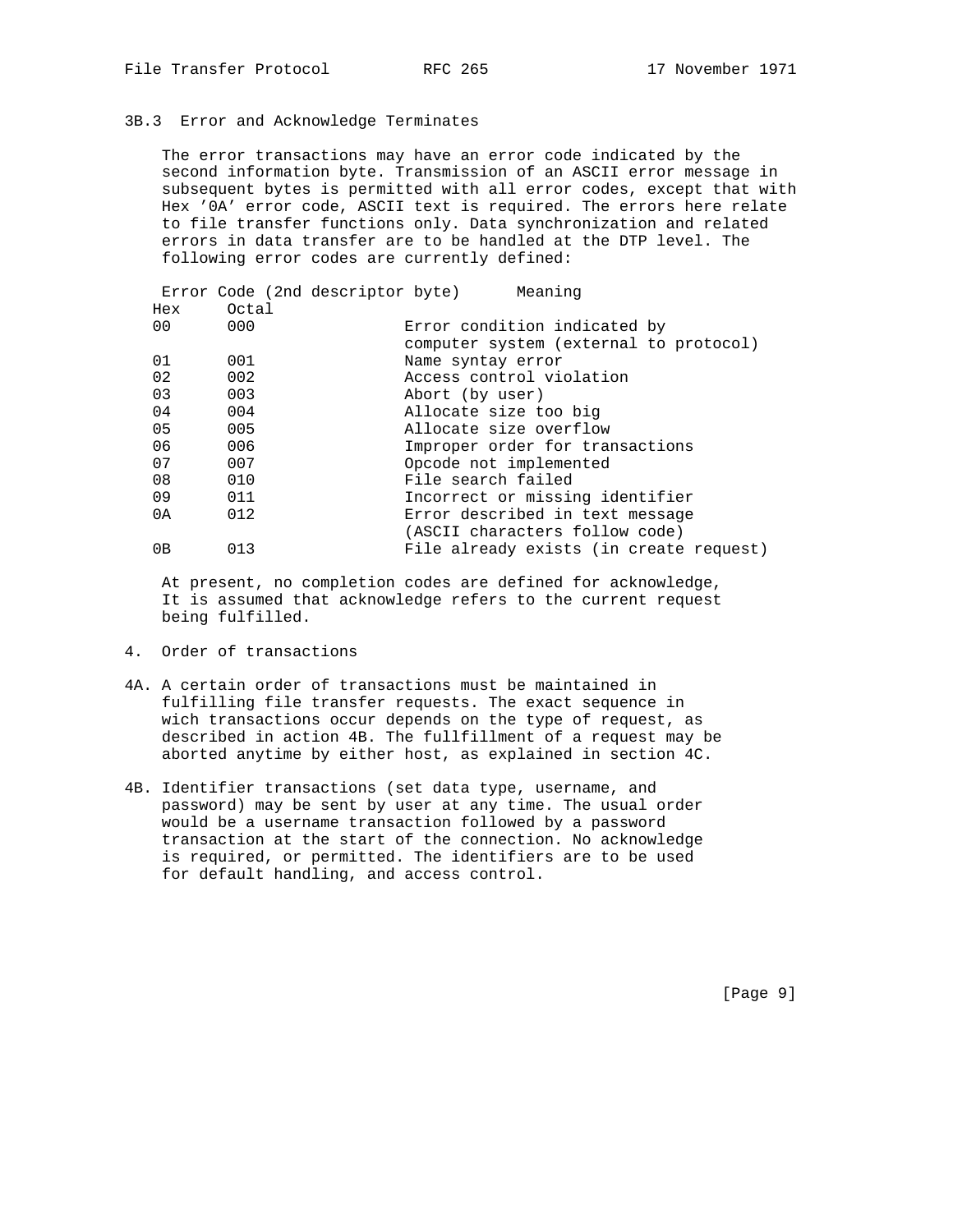## 3B.3 Error and Acknowledge Terminates

 The error transactions may have an error code indicated by the second information byte. Transmission of an ASCII error message in subsequent bytes is permitted with all error codes, except that with Hex '0A' error code, ASCII text is required. The errors here relate to file transfer functions only. Data synchronization and related errors in data transfer are to be handled at the DTP level. The following error codes are currently defined:

|                 |       | Error Code (2nd descriptor byte) | Meaning                         |                                         |
|-----------------|-------|----------------------------------|---------------------------------|-----------------------------------------|
| Hex             | Octal |                                  |                                 |                                         |
| 00 <sup>o</sup> | 000   |                                  | Error condition indicated by    |                                         |
|                 |       |                                  |                                 | computer system (external to protocol)  |
| 01              | 001   |                                  | Name syntay error               |                                         |
| 02              | 002   |                                  | Access control violation        |                                         |
| 03              | 003   |                                  | Abort (by user)                 |                                         |
| 04              | 004   |                                  | Allocate size too big           |                                         |
| 05              | 005   |                                  | Allocate size overflow          |                                         |
| 06              | 006   |                                  | Improper order for transactions |                                         |
| 07              | 007   |                                  | Opcode not implemented          |                                         |
| 08              | 010   |                                  | File search failed              |                                         |
| 09              | 011   |                                  | Incorrect or missing identifier |                                         |
| 0 A             | 012   |                                  | Error described in text message |                                         |
|                 |       |                                  | (ASCII characters follow code)  |                                         |
| 0В              | 013   |                                  |                                 | File already exists (in create request) |

 At present, no completion codes are defined for acknowledge, It is assumed that acknowledge refers to the current request being fulfilled.

- 4. Order of transactions
- 4A. A certain order of transactions must be maintained in fulfilling file transfer requests. The exact sequence in wich transactions occur depends on the type of request, as described in action 4B. The fullfillment of a request may be aborted anytime by either host, as explained in section 4C.
- 4B. Identifier transactions (set data type, username, and password) may be sent by user at any time. The usual order would be a username transaction followed by a password transaction at the start of the connection. No acknowledge is required, or permitted. The identifiers are to be used for default handling, and access control.

[Page 9]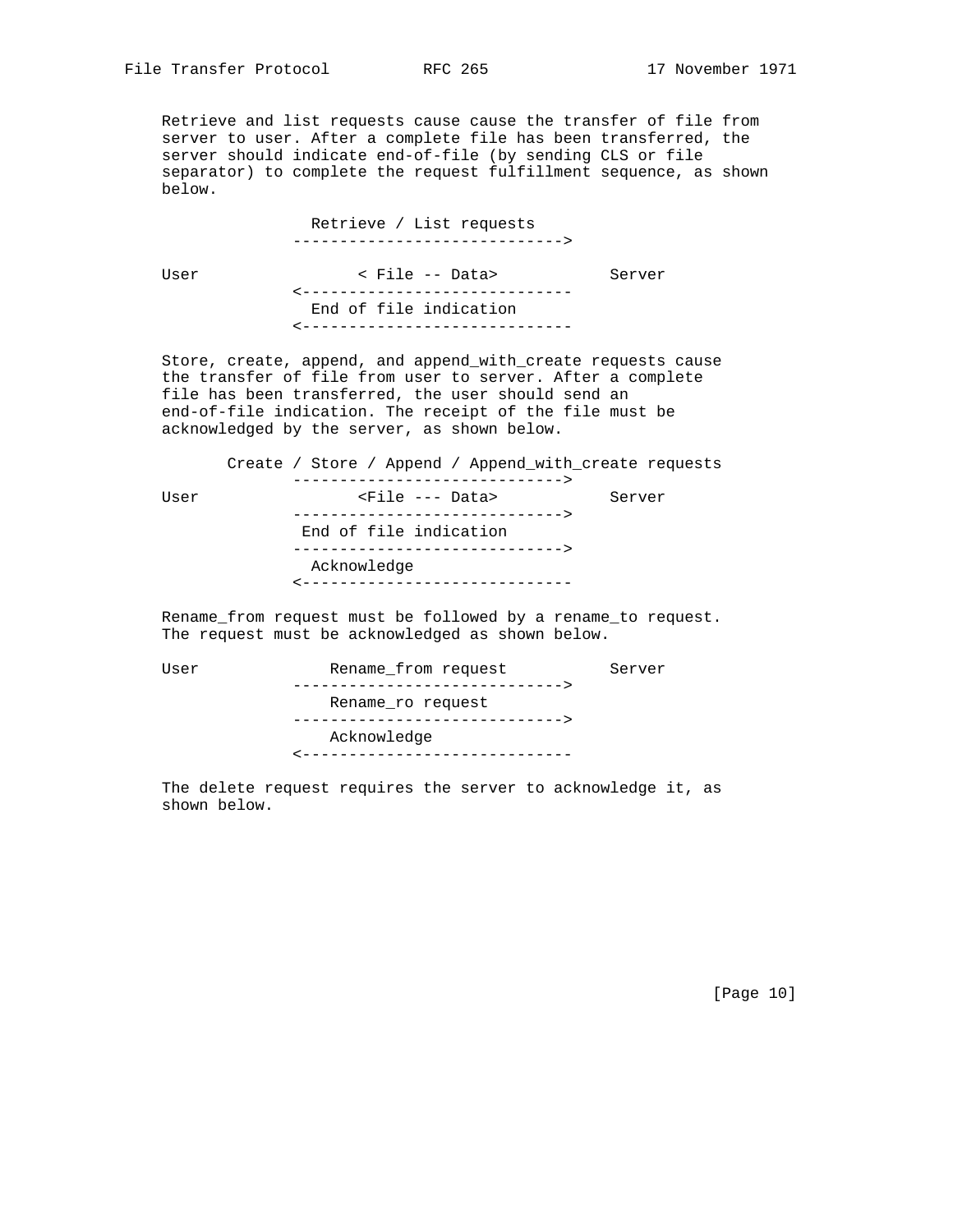Retrieve and list requests cause cause the transfer of file from server to user. After a complete file has been transferred, the server should indicate end-of-file (by sending CLS or file separator) to complete the request fulfillment sequence, as shown below.

> Retrieve / List requests ----------------------------->

 User < File -- Data> Server <----------------------------- End of file indication <-----------------------------

 Store, create, append, and append\_with\_create requests cause the transfer of file from user to server. After a complete file has been transferred, the user should send an end-of-file indication. The receipt of the file must be acknowledged by the server, as shown below.

 Create / Store / Append / Append\_with\_create requests -----------------------------> User  $\langle$ File --- Data> Server -----------------------------> End of file indication -----------------------------> Acknowledge <-----------------------------

 Rename\_from request must be followed by a rename\_to request. The request must be acknowledged as shown below.

| Rename from request                        | Server                                                           |
|--------------------------------------------|------------------------------------------------------------------|
| Rename ro request                          |                                                                  |
| Acknowledge<br>--------------------------- |                                                                  |
|                                            | ------------------------------<br>______________________________ |

 The delete request requires the server to acknowledge it, as shown below.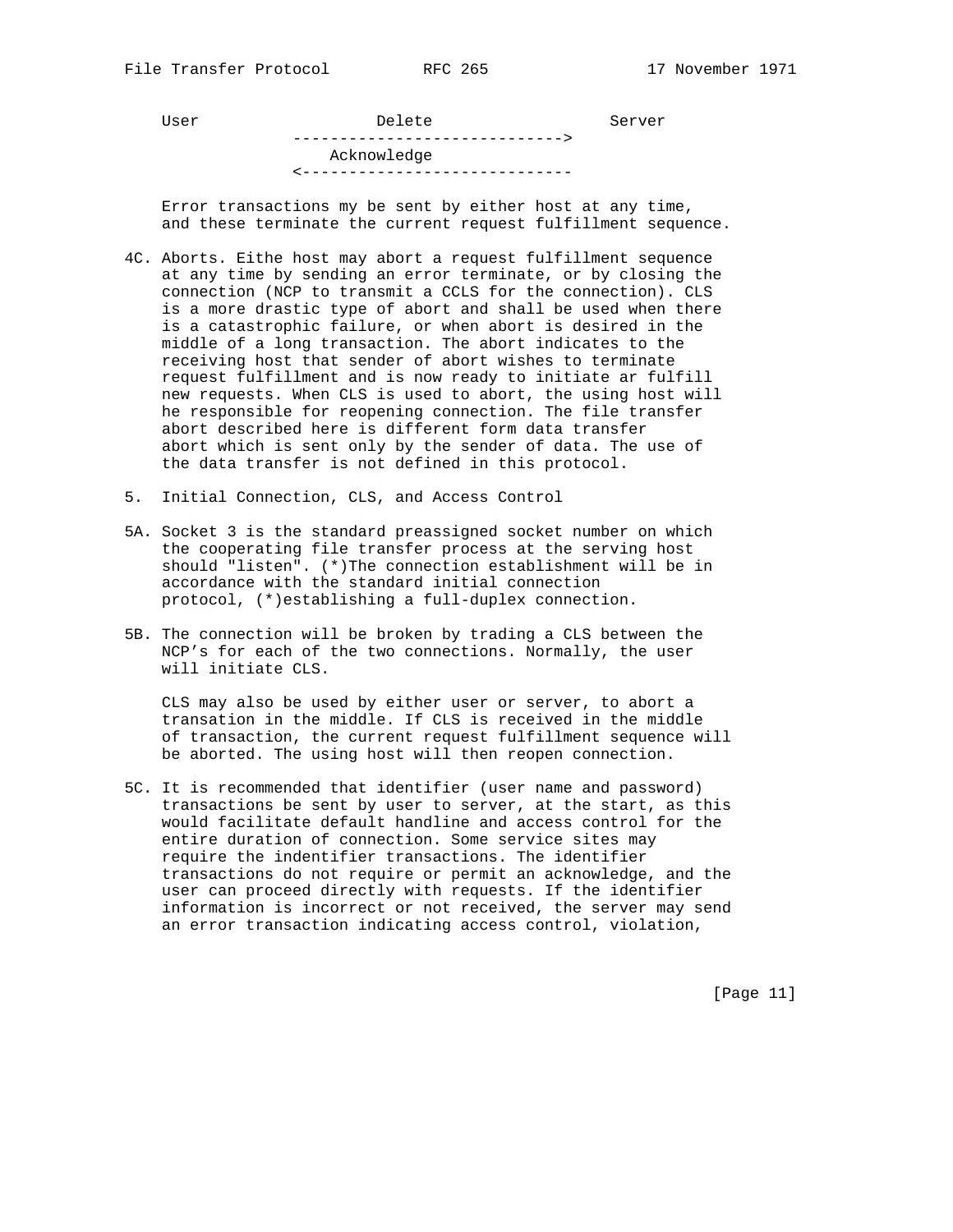User Delete Server -----------------------------> Acknowledge <-----------------------------

 Error transactions my be sent by either host at any time, and these terminate the current request fulfillment sequence.

- 4C. Aborts. Eithe host may abort a request fulfillment sequence at any time by sending an error terminate, or by closing the connection (NCP to transmit a CCLS for the connection). CLS is a more drastic type of abort and shall be used when there is a catastrophic failure, or when abort is desired in the middle of a long transaction. The abort indicates to the receiving host that sender of abort wishes to terminate request fulfillment and is now ready to initiate ar fulfill new requests. When CLS is used to abort, the using host will he responsible for reopening connection. The file transfer abort described here is different form data transfer abort which is sent only by the sender of data. The use of the data transfer is not defined in this protocol.
- 5. Initial Connection, CLS, and Access Control
- 5A. Socket 3 is the standard preassigned socket number on which the cooperating file transfer process at the serving host should "listen". (\*)The connection establishment will be in accordance with the standard initial connection protocol, (\*)establishing a full-duplex connection.
- 5B. The connection will be broken by trading a CLS between the NCP's for each of the two connections. Normally, the user will initiate CLS.

 CLS may also be used by either user or server, to abort a transation in the middle. If CLS is received in the middle of transaction, the current request fulfillment sequence will be aborted. The using host will then reopen connection.

5C. It is recommended that identifier (user name and password) transactions be sent by user to server, at the start, as this would facilitate default handline and access control for the entire duration of connection. Some service sites may require the indentifier transactions. The identifier transactions do not require or permit an acknowledge, and the user can proceed directly with requests. If the identifier information is incorrect or not received, the server may send an error transaction indicating access control, violation,

[Page 11]